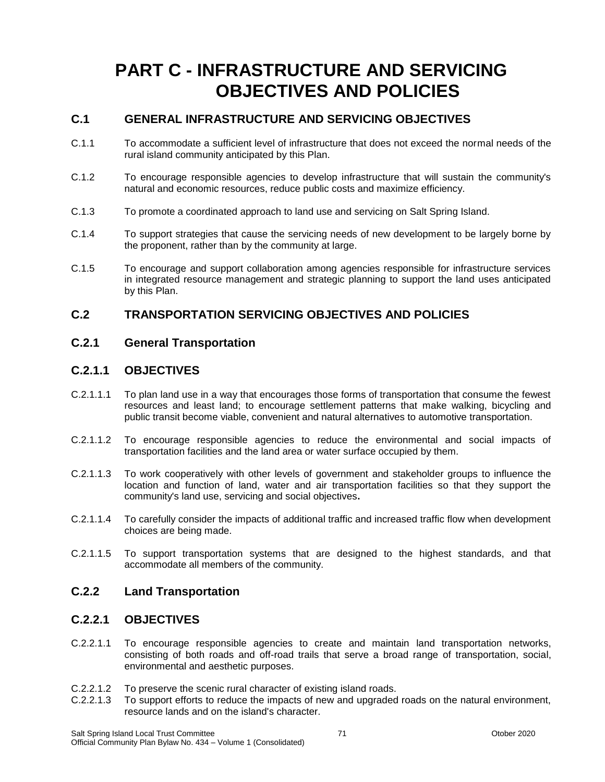# **PART C - INFRASTRUCTURE AND SERVICING OBJECTIVES AND POLICIES**

## **C.1 GENERAL INFRASTRUCTURE AND SERVICING OBJECTIVES**

- C.1.1 To accommodate a sufficient level of infrastructure that does not exceed the normal needs of the rural island community anticipated by this Plan.
- C.1.2 To encourage responsible agencies to develop infrastructure that will sustain the community's natural and economic resources, reduce public costs and maximize efficiency.
- C.1.3 To promote a coordinated approach to land use and servicing on Salt Spring Island.
- C.1.4 To support strategies that cause the servicing needs of new development to be largely borne by the proponent, rather than by the community at large.
- C.1.5 To encourage and support collaboration among agencies responsible for infrastructure services in integrated resource management and strategic planning to support the land uses anticipated by this Plan.

#### **C.2 TRANSPORTATION SERVICING OBJECTIVES AND POLICIES**

#### **C.2.1 General Transportation**

#### **C.2.1.1 OBJECTIVES**

- C.2.1.1.1 To plan land use in a way that encourages those forms of transportation that consume the fewest resources and least land; to encourage settlement patterns that make walking, bicycling and public transit become viable, convenient and natural alternatives to automotive transportation.
- C.2.1.1.2 To encourage responsible agencies to reduce the environmental and social impacts of transportation facilities and the land area or water surface occupied by them.
- C.2.1.1.3 To work cooperatively with other levels of government and stakeholder groups to influence the location and function of land, water and air transportation facilities so that they support the community's land use, servicing and social objectives**.**
- C.2.1.1.4 To carefully consider the impacts of additional traffic and increased traffic flow when development choices are being made.
- C.2.1.1.5 To support transportation systems that are designed to the highest standards, and that accommodate all members of the community.

#### **C.2.2 Land Transportation**

#### **C.2.2.1 OBJECTIVES**

- C.2.2.1.1 To encourage responsible agencies to create and maintain land transportation networks, consisting of both roads and off-road trails that serve a broad range of transportation, social, environmental and aesthetic purposes.
- C.2.2.1.2 To preserve the scenic rural character of existing island roads.<br>C.2.2.1.3 To support efforts to reduce the impacts of new and upgraded
- To support efforts to reduce the impacts of new and upgraded roads on the natural environment, resource lands and on the island's character.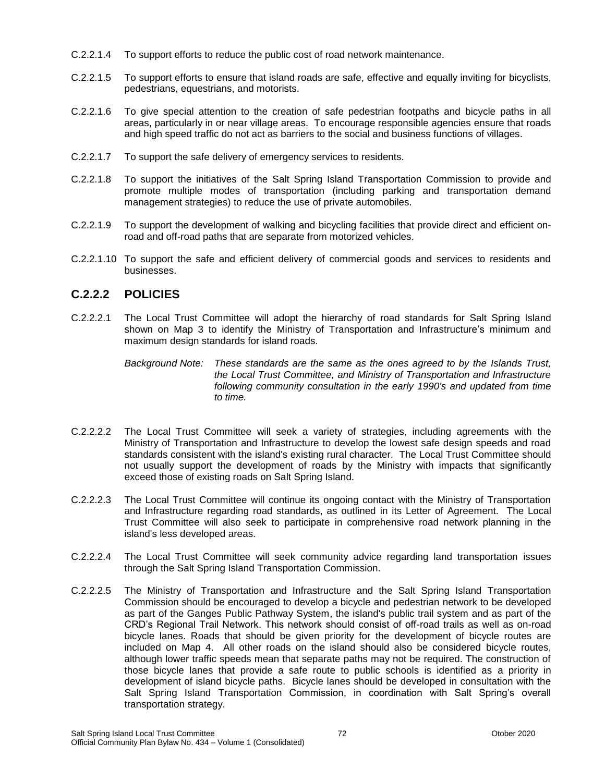- C.2.2.1.4 To support efforts to reduce the public cost of road network maintenance.
- C.2.2.1.5 To support efforts to ensure that island roads are safe, effective and equally inviting for bicyclists, pedestrians, equestrians, and motorists.
- C.2.2.1.6 To give special attention to the creation of safe pedestrian footpaths and bicycle paths in all areas, particularly in or near village areas. To encourage responsible agencies ensure that roads and high speed traffic do not act as barriers to the social and business functions of villages.
- C.2.2.1.7 To support the safe delivery of emergency services to residents.
- C.2.2.1.8 To support the initiatives of the Salt Spring Island Transportation Commission to provide and promote multiple modes of transportation (including parking and transportation demand management strategies) to reduce the use of private automobiles.
- C.2.2.1.9 To support the development of walking and bicycling facilities that provide direct and efficient onroad and off-road paths that are separate from motorized vehicles.
- C.2.2.1.10 To support the safe and efficient delivery of commercial goods and services to residents and businesses.

## **C.2.2.2 POLICIES**

C.2.2.2.1 The Local Trust Committee will adopt the hierarchy of road standards for Salt Spring Island shown on Map 3 to identify the Ministry of Transportation and Infrastructure's minimum and maximum design standards for island roads.

> *Background Note: These standards are the same as the ones agreed to by the Islands Trust, the Local Trust Committee, and Ministry of Transportation and Infrastructure following community consultation in the early 1990's and updated from time to time.*

- C.2.2.2.2 The Local Trust Committee will seek a variety of strategies, including agreements with the Ministry of Transportation and Infrastructure to develop the lowest safe design speeds and road standards consistent with the island's existing rural character. The Local Trust Committee should not usually support the development of roads by the Ministry with impacts that significantly exceed those of existing roads on Salt Spring Island.
- C.2.2.2.3 The Local Trust Committee will continue its ongoing contact with the Ministry of Transportation and Infrastructure regarding road standards, as outlined in its Letter of Agreement. The Local Trust Committee will also seek to participate in comprehensive road network planning in the island's less developed areas.
- C.2.2.2.4 The Local Trust Committee will seek community advice regarding land transportation issues through the Salt Spring Island Transportation Commission.
- C.2.2.2.5 The Ministry of Transportation and Infrastructure and the Salt Spring Island Transportation Commission should be encouraged to develop a bicycle and pedestrian network to be developed as part of the Ganges Public Pathway System, the island's public trail system and as part of the CRD's Regional Trail Network. This network should consist of off-road trails as well as on-road bicycle lanes. Roads that should be given priority for the development of bicycle routes are included on Map 4. All other roads on the island should also be considered bicycle routes, although lower traffic speeds mean that separate paths may not be required. The construction of those bicycle lanes that provide a safe route to public schools is identified as a priority in development of island bicycle paths. Bicycle lanes should be developed in consultation with the Salt Spring Island Transportation Commission, in coordination with Salt Spring's overall transportation strategy.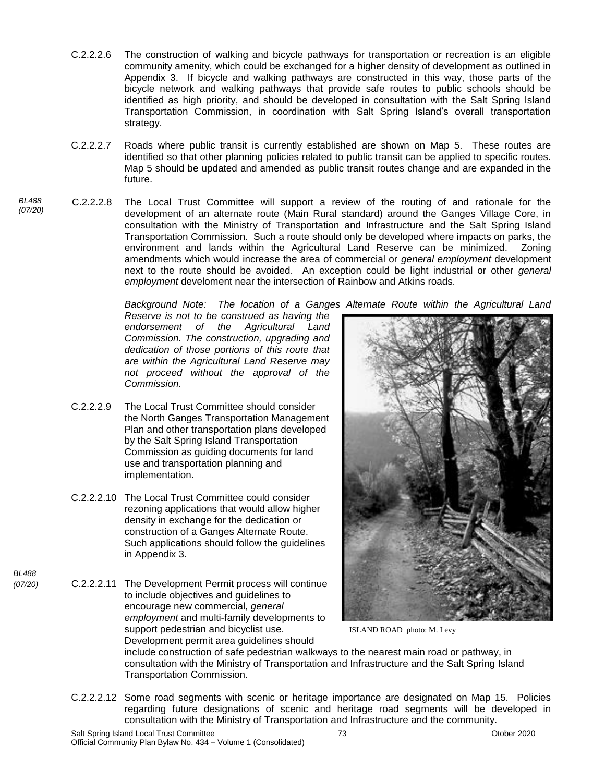- C.2.2.2.6 The construction of walking and bicycle pathways for transportation or recreation is an eligible community amenity, which could be exchanged for a higher density of development as outlined in Appendix 3. If bicycle and walking pathways are constructed in this way, those parts of the bicycle network and walking pathways that provide safe routes to public schools should be identified as high priority, and should be developed in consultation with the Salt Spring Island Transportation Commission, in coordination with Salt Spring Island's overall transportation strategy.
- C.2.2.2.7 Roads where public transit is currently established are shown on Map 5. These routes are identified so that other planning policies related to public transit can be applied to specific routes. Map 5 should be updated and amended as public transit routes change and are expanded in the future.
- *BL488*  C.2.2.2.8 The Local Trust Committee will support a review of the routing of and rationale for the development of an alternate route (Main Rural standard) around the Ganges Village Core, in consultation with the Ministry of Transportation and Infrastructure and the Salt Spring Island Transportation Commission. Such a route should only be developed where impacts on parks, the environment and lands within the Agricultural Land Reserve can be minimized. Zoning amendments which would increase the area of commercial or *general employment* development next to the route should be avoided. An exception could be light industrial or other *general employment* develoment near the intersection of Rainbow and Atkins roads.

*Background Note: The location of a Ganges Alternate Route within the Agricultural Land* 

*Reserve is not to be construed as having the endorsement of the Agricultural Land Commission. The construction, upgrading and dedication of those portions of this route that are within the Agricultural Land Reserve may not proceed without the approval of the Commission.*

- C.2.2.2.9 The Local Trust Committee should consider the North Ganges Transportation Management Plan and other transportation plans developed by the Salt Spring Island Transportation Commission as guiding documents for land use and transportation planning and implementation.
- C.2.2.2.10 The Local Trust Committee could consider rezoning applications that would allow higher density in exchange for the dedication or construction of a Ganges Alternate Route. Such applications should follow the guidelines in Appendix 3.
- *(07/20)* C.2.2.2.11 The Development Permit process will continue to include objectives and guidelines to encourage new commercial, *general employment* and multi-family developments to support pedestrian and bicyclist use. Development permit area guidelines should



ISLAND ROAD photo: M. Levy

include construction of safe pedestrian walkways to the nearest main road or pathway, in consultation with the Ministry of Transportation and Infrastructure and the Salt Spring Island Transportation Commission.

C.2.2.2.12 Some road segments with scenic or heritage importance are designated on Map 15. Policies regarding future designations of scenic and heritage road segments will be developed in consultation with the Ministry of Transportation and Infrastructure and the community.

*(07/20)*

*BL488*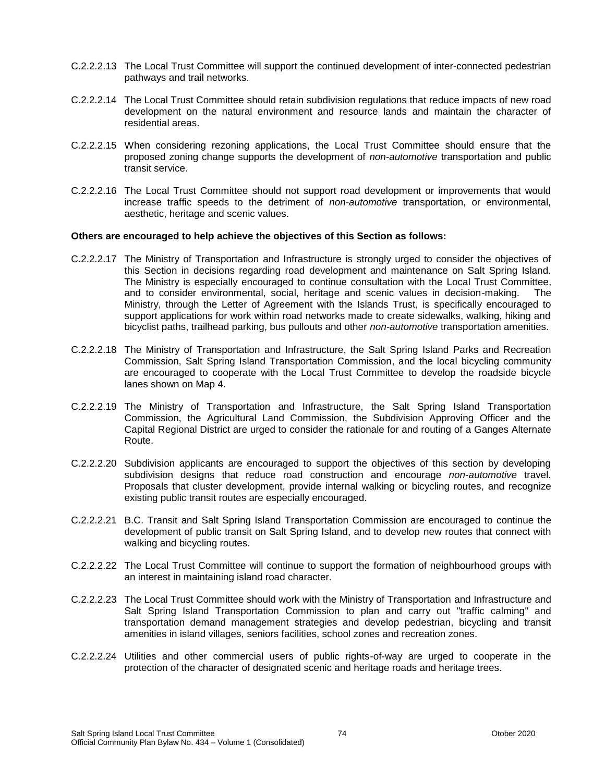- C.2.2.2.13 The Local Trust Committee will support the continued development of inter-connected pedestrian pathways and trail networks.
- C.2.2.2.14 The Local Trust Committee should retain subdivision regulations that reduce impacts of new road development on the natural environment and resource lands and maintain the character of residential areas.
- C.2.2.2.15 When considering rezoning applications, the Local Trust Committee should ensure that the proposed zoning change supports the development of *non-automotive* transportation and public transit service.
- C.2.2.2.16 The Local Trust Committee should not support road development or improvements that would increase traffic speeds to the detriment of *non-automotive* transportation, or environmental, aesthetic, heritage and scenic values.

- C.2.2.2.17 The Ministry of Transportation and Infrastructure is strongly urged to consider the objectives of this Section in decisions regarding road development and maintenance on Salt Spring Island. The Ministry is especially encouraged to continue consultation with the Local Trust Committee, and to consider environmental, social, heritage and scenic values in decision-making. The Ministry, through the Letter of Agreement with the Islands Trust, is specifically encouraged to support applications for work within road networks made to create sidewalks, walking, hiking and bicyclist paths, trailhead parking, bus pullouts and other *non-automotive* transportation amenities.
- C.2.2.2.18 The Ministry of Transportation and Infrastructure, the Salt Spring Island Parks and Recreation Commission, Salt Spring Island Transportation Commission, and the local bicycling community are encouraged to cooperate with the Local Trust Committee to develop the roadside bicycle lanes shown on Map 4.
- C.2.2.2.19 The Ministry of Transportation and Infrastructure, the Salt Spring Island Transportation Commission, the Agricultural Land Commission, the Subdivision Approving Officer and the Capital Regional District are urged to consider the rationale for and routing of a Ganges Alternate Route.
- C.2.2.2.20 Subdivision applicants are encouraged to support the objectives of this section by developing subdivision designs that reduce road construction and encourage *non-automotive* travel. Proposals that cluster development, provide internal walking or bicycling routes, and recognize existing public transit routes are especially encouraged.
- C.2.2.2.21 B.C. Transit and Salt Spring Island Transportation Commission are encouraged to continue the development of public transit on Salt Spring Island, and to develop new routes that connect with walking and bicycling routes.
- C.2.2.2.22 The Local Trust Committee will continue to support the formation of neighbourhood groups with an interest in maintaining island road character.
- C.2.2.2.23 The Local Trust Committee should work with the Ministry of Transportation and Infrastructure and Salt Spring Island Transportation Commission to plan and carry out "traffic calming" and transportation demand management strategies and develop pedestrian, bicycling and transit amenities in island villages, seniors facilities, school zones and recreation zones.
- C.2.2.2.24 Utilities and other commercial users of public rights-of-way are urged to cooperate in the protection of the character of designated scenic and heritage roads and heritage trees.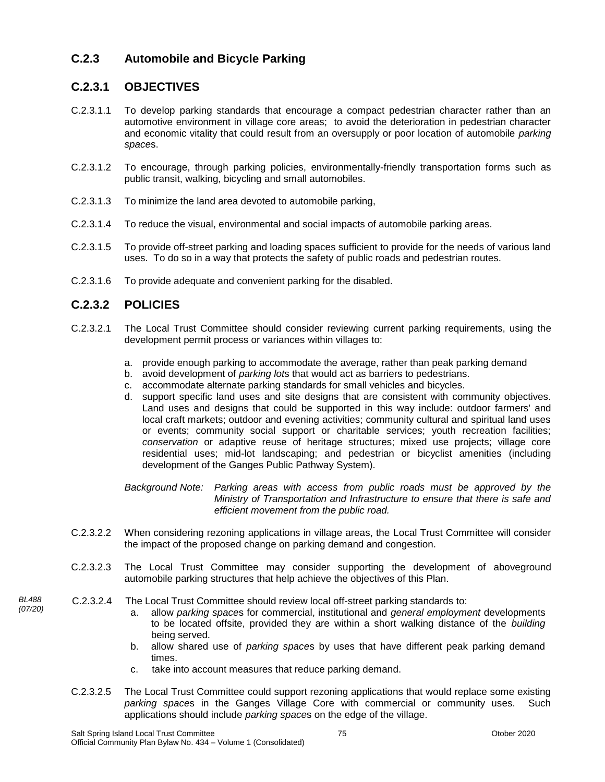## **C.2.3 Automobile and Bicycle Parking**

#### **C.2.3.1 OBJECTIVES**

- C.2.3.1.1 To develop parking standards that encourage a compact pedestrian character rather than an automotive environment in village core areas; to avoid the deterioration in pedestrian character and economic vitality that could result from an oversupply or poor location of automobile *parking space*s.
- C.2.3.1.2 To encourage, through parking policies, environmentally-friendly transportation forms such as public transit, walking, bicycling and small automobiles.
- C.2.3.1.3 To minimize the land area devoted to automobile parking,
- C.2.3.1.4 To reduce the visual, environmental and social impacts of automobile parking areas.
- C.2.3.1.5 To provide off-street parking and loading spaces sufficient to provide for the needs of various land uses. To do so in a way that protects the safety of public roads and pedestrian routes.
- C.2.3.1.6 To provide adequate and convenient parking for the disabled.

#### **C.2.3.2 POLICIES**

- C.2.3.2.1 The Local Trust Committee should consider reviewing current parking requirements, using the development permit process or variances within villages to:
	- a. provide enough parking to accommodate the average, rather than peak parking demand
	- b. avoid development of *parking lot*s that would act as barriers to pedestrians.
	- c. accommodate alternate parking standards for small vehicles and bicycles.
	- d. support specific land uses and site designs that are consistent with community objectives. Land uses and designs that could be supported in this way include: outdoor farmers' and local craft markets; outdoor and evening activities; community cultural and spiritual land uses or events; community social support or charitable services; youth recreation facilities; *conservation* or adaptive reuse of heritage structures; mixed use projects; village core residential uses; mid-lot landscaping; and pedestrian or bicyclist amenities (including development of the Ganges Public Pathway System).

*Background Note: Parking areas with access from public roads must be approved by the Ministry of Transportation and Infrastructure to ensure that there is safe and efficient movement from the public road.*

- C.2.3.2.2 When considering rezoning applications in village areas, the Local Trust Committee will consider the impact of the proposed change on parking demand and congestion.
- C.2.3.2.3 The Local Trust Committee may consider supporting the development of aboveground automobile parking structures that help achieve the objectives of this Plan.
- C.2.3.2.4 The Local Trust Committee should review local off-street parking standards to:
	- a. allow *parking space*s for commercial, institutional and *general employment* developments to be located offsite, provided they are within a short walking distance of the *building* being served.
	- b. allow shared use of *parking space*s by uses that have different peak parking demand times.
	- c. take into account measures that reduce parking demand.
	- C.2.3.2.5 The Local Trust Committee could support rezoning applications that would replace some existing *parking space*s in the Ganges Village Core with commercial or community uses. Such applications should include *parking space*s on the edge of the village.

*BL488 (07/20)*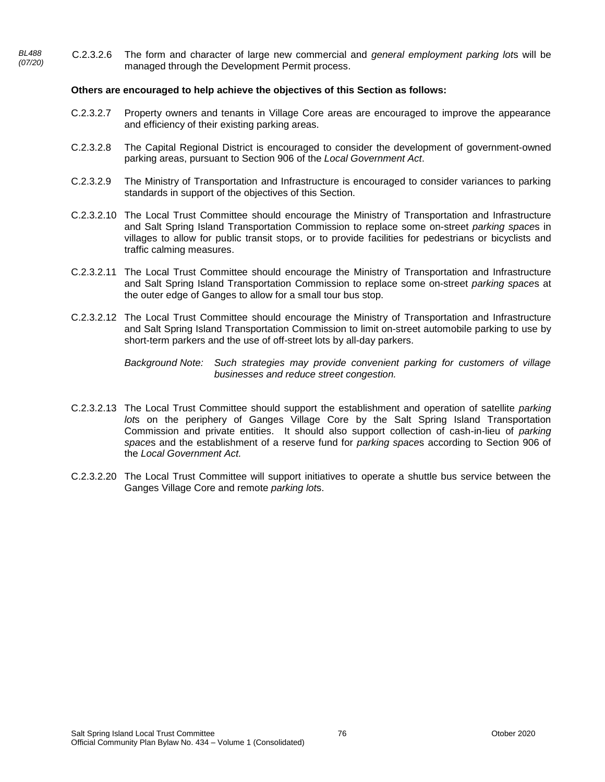*BL488*  C.2.3.2.6 The form and character of large new commercial and *general employment parking lot*s will be managed through the Development Permit process.

- C.2.3.2.7 Property owners and tenants in Village Core areas are encouraged to improve the appearance and efficiency of their existing parking areas.
- C.2.3.2.8 The Capital Regional District is encouraged to consider the development of government-owned parking areas, pursuant to Section 906 of the *Local Government Act*.
- C.2.3.2.9 The Ministry of Transportation and Infrastructure is encouraged to consider variances to parking standards in support of the objectives of this Section.
- C.2.3.2.10 The Local Trust Committee should encourage the Ministry of Transportation and Infrastructure and Salt Spring Island Transportation Commission to replace some on-street *parking space*s in villages to allow for public transit stops, or to provide facilities for pedestrians or bicyclists and traffic calming measures.
- C.2.3.2.11 The Local Trust Committee should encourage the Ministry of Transportation and Infrastructure and Salt Spring Island Transportation Commission to replace some on-street *parking space*s at the outer edge of Ganges to allow for a small tour bus stop.
- C.2.3.2.12 The Local Trust Committee should encourage the Ministry of Transportation and Infrastructure and Salt Spring Island Transportation Commission to limit on-street automobile parking to use by short-term parkers and the use of off-street lots by all-day parkers.

- C.2.3.2.13 The Local Trust Committee should support the establishment and operation of satellite *parking lot*s on the periphery of Ganges Village Core by the Salt Spring Island Transportation Commission and private entities. It should also support collection of cash-in-lieu of *parking space*s and the establishment of a reserve fund for *parking space*s according to Section 906 of the *Local Government Act.*
- C.2.3.2.20 The Local Trust Committee will support initiatives to operate a shuttle bus service between the Ganges Village Core and remote *parking lot*s.

*Background Note: Such strategies may provide convenient parking for customers of village businesses and reduce street congestion.*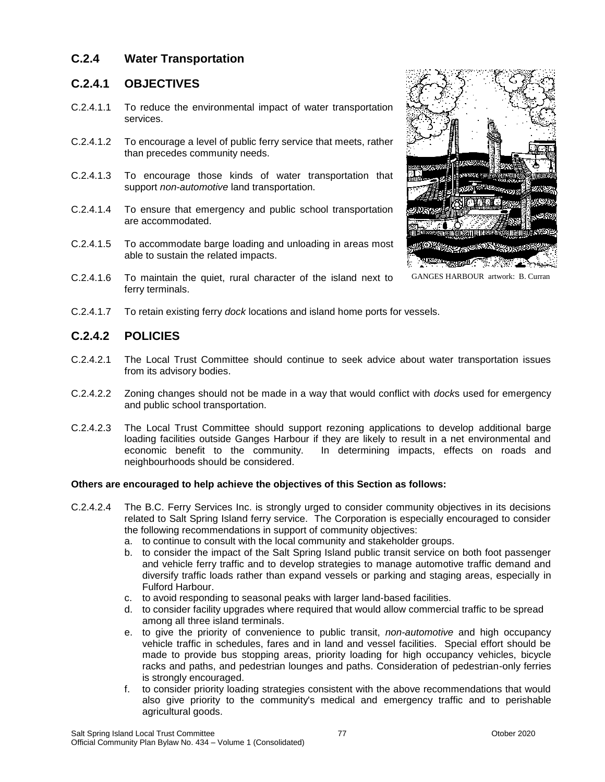## **C.2.4 Water Transportation**

#### **C.2.4.1 OBJECTIVES**

- C.2.4.1.1 To reduce the environmental impact of water transportation services.
- C.2.4.1.2 To encourage a level of public ferry service that meets, rather than precedes community needs.
- C.2.4.1.3 To encourage those kinds of water transportation that support *non-automotive* land transportation.
- C.2.4.1.4 To ensure that emergency and public school transportation are accommodated.
- C.2.4.1.5 To accommodate barge loading and unloading in areas most able to sustain the related impacts.
- C.2.4.1.6 To maintain the quiet, rural character of the island next to ferry terminals.



GANGES HARBOUR artwork: B. Curran

C.2.4.1.7 To retain existing ferry *dock* locations and island home ports for vessels.

#### **C.2.4.2 POLICIES**

- C.2.4.2.1 The Local Trust Committee should continue to seek advice about water transportation issues from its advisory bodies.
- C.2.4.2.2 Zoning changes should not be made in a way that would conflict with *dock*s used for emergency and public school transportation.
- C.2.4.2.3 The Local Trust Committee should support rezoning applications to develop additional barge loading facilities outside Ganges Harbour if they are likely to result in a net environmental and economic benefit to the community. In determining impacts, effects on roads and neighbourhoods should be considered.

- C.2.4.2.4 The B.C. Ferry Services Inc. is strongly urged to consider community objectives in its decisions related to Salt Spring Island ferry service. The Corporation is especially encouraged to consider the following recommendations in support of community objectives:
	- a. to continue to consult with the local community and stakeholder groups.
	- b. to consider the impact of the Salt Spring Island public transit service on both foot passenger and vehicle ferry traffic and to develop strategies to manage automotive traffic demand and diversify traffic loads rather than expand vessels or parking and staging areas, especially in Fulford Harbour.
	- c. to avoid responding to seasonal peaks with larger land-based facilities.
	- d. to consider facility upgrades where required that would allow commercial traffic to be spread among all three island terminals.
	- e. to give the priority of convenience to public transit, *non-automotive* and high occupancy vehicle traffic in schedules, fares and in land and vessel facilities. Special effort should be made to provide bus stopping areas, priority loading for high occupancy vehicles, bicycle racks and paths, and pedestrian lounges and paths. Consideration of pedestrian-only ferries is strongly encouraged.
	- f. to consider priority loading strategies consistent with the above recommendations that would also give priority to the community's medical and emergency traffic and to perishable agricultural goods.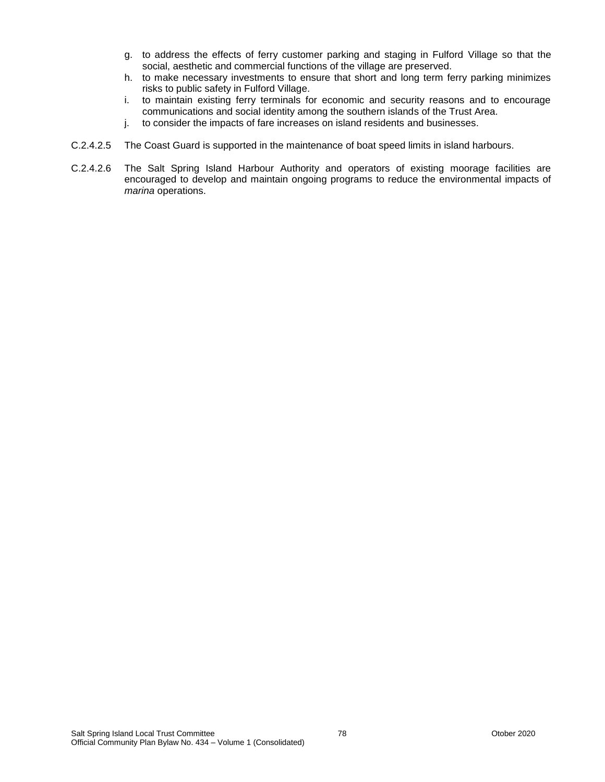- g. to address the effects of ferry customer parking and staging in Fulford Village so that the social, aesthetic and commercial functions of the village are preserved.
- h. to make necessary investments to ensure that short and long term ferry parking minimizes risks to public safety in Fulford Village.
- i. to maintain existing ferry terminals for economic and security reasons and to encourage communications and social identity among the southern islands of the Trust Area.
- j. to consider the impacts of fare increases on island residents and businesses.
- C.2.4.2.5 The Coast Guard is supported in the maintenance of boat speed limits in island harbours.
- C.2.4.2.6 The Salt Spring Island Harbour Authority and operators of existing moorage facilities are encouraged to develop and maintain ongoing programs to reduce the environmental impacts of *marina* operations.